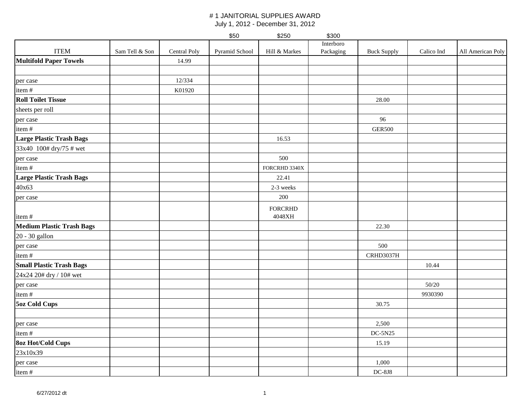|                                  |                |              | \$50           | \$250          | \$300     |                    |            |                   |
|----------------------------------|----------------|--------------|----------------|----------------|-----------|--------------------|------------|-------------------|
|                                  |                |              |                |                | Interboro |                    |            |                   |
| <b>ITEM</b>                      | Sam Tell & Son | Central Poly | Pyramid School | Hill & Markes  | Packaging | <b>Buck Supply</b> | Calico Ind | All American Poly |
| <b>Multifold Paper Towels</b>    |                | 14.99        |                |                |           |                    |            |                   |
|                                  |                |              |                |                |           |                    |            |                   |
| per case                         |                | 12/334       |                |                |           |                    |            |                   |
| item#                            |                | K01920       |                |                |           |                    |            |                   |
| <b>Roll Toilet Tissue</b>        |                |              |                |                |           | 28.00              |            |                   |
| sheets per roll                  |                |              |                |                |           |                    |            |                   |
| per case                         |                |              |                |                |           | 96                 |            |                   |
| item#                            |                |              |                |                |           | <b>GER500</b>      |            |                   |
| <b>Large Plastic Trash Bags</b>  |                |              |                | 16.53          |           |                    |            |                   |
| 33x40 100# dry/75 # wet          |                |              |                |                |           |                    |            |                   |
| per case                         |                |              |                | 500            |           |                    |            |                   |
| item#                            |                |              |                | FORCRHD 3340X  |           |                    |            |                   |
| <b>Large Plastic Trash Bags</b>  |                |              |                | 22.41          |           |                    |            |                   |
| 40x63                            |                |              |                | 2-3 weeks      |           |                    |            |                   |
| per case                         |                |              |                | 200            |           |                    |            |                   |
|                                  |                |              |                | <b>FORCRHD</b> |           |                    |            |                   |
| item#                            |                |              |                | 4048XH         |           |                    |            |                   |
| <b>Medium Plastic Trash Bags</b> |                |              |                |                |           | 22.30              |            |                   |
| 20 - 30 gallon                   |                |              |                |                |           |                    |            |                   |
| per case                         |                |              |                |                |           | 500                |            |                   |
| item#                            |                |              |                |                |           | CRHD3037H          |            |                   |
| <b>Small Plastic Trash Bags</b>  |                |              |                |                |           |                    | 10.44      |                   |
| 24x24 20# dry / 10# wet          |                |              |                |                |           |                    |            |                   |
| per case                         |                |              |                |                |           |                    | 50/20      |                   |
| item#                            |                |              |                |                |           |                    | 9930390    |                   |
| <b>5oz Cold Cups</b>             |                |              |                |                |           | 30.75              |            |                   |
|                                  |                |              |                |                |           |                    |            |                   |
| per case                         |                |              |                |                |           | 2,500              |            |                   |
| item#                            |                |              |                |                |           | $DC-5N25$          |            |                   |
| <b>8oz Hot/Cold Cups</b>         |                |              |                |                |           | 15.19              |            |                   |
| 23x10x39                         |                |              |                |                |           |                    |            |                   |
| per case                         |                |              |                |                |           | 1,000              |            |                   |
| item#                            |                |              |                |                |           | $DC-8J8$           |            |                   |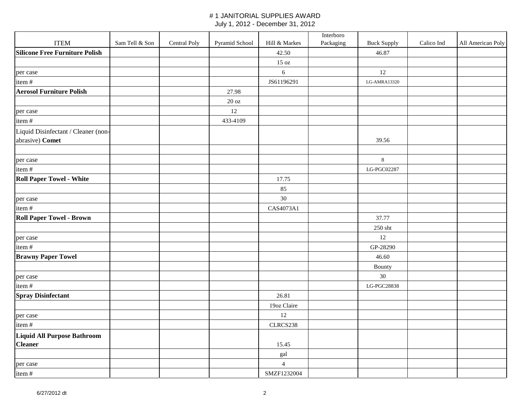|                                                        |                |              |                   |                | Interboro |                    |            |                   |
|--------------------------------------------------------|----------------|--------------|-------------------|----------------|-----------|--------------------|------------|-------------------|
| <b>ITEM</b>                                            | Sam Tell & Son | Central Poly | Pyramid School    | Hill & Markes  | Packaging | <b>Buck Supply</b> | Calico Ind | All American Poly |
| <b>Silicone Free Furniture Polish</b>                  |                |              |                   | 42.50          |           | 46.87              |            |                   |
|                                                        |                |              |                   | 15 oz          |           |                    |            |                   |
| per case                                               |                |              |                   | $\sqrt{6}$     |           | 12                 |            |                   |
| item#                                                  |                |              |                   | JS61196291     |           | LG-AMRA13320       |            |                   |
| <b>Aerosol Furniture Polish</b>                        |                |              | 27.98             |                |           |                    |            |                   |
|                                                        |                |              | $20\ \mathrm{oz}$ |                |           |                    |            |                   |
| per case                                               |                |              | $12\,$            |                |           |                    |            |                   |
| item#                                                  |                |              | 433-4109          |                |           |                    |            |                   |
| Liquid Disinfectant / Cleaner (non-<br>abrasive) Comet |                |              |                   |                |           | 39.56              |            |                   |
| per case                                               |                |              |                   |                |           | $\,8\,$            |            |                   |
| item#                                                  |                |              |                   |                |           | LG-PGC02287        |            |                   |
| <b>Roll Paper Towel - White</b>                        |                |              |                   | 17.75          |           |                    |            |                   |
|                                                        |                |              |                   | 85             |           |                    |            |                   |
| per case                                               |                |              |                   | 30             |           |                    |            |                   |
| item#                                                  |                |              |                   | CAS4073A1      |           |                    |            |                   |
| <b>Roll Paper Towel - Brown</b>                        |                |              |                   |                |           | 37.77              |            |                   |
|                                                        |                |              |                   |                |           | 250 sht            |            |                   |
| per case                                               |                |              |                   |                |           | 12                 |            |                   |
| item#                                                  |                |              |                   |                |           | GP-28290           |            |                   |
| <b>Brawny Paper Towel</b>                              |                |              |                   |                |           | 46.60              |            |                   |
|                                                        |                |              |                   |                |           | Bounty             |            |                   |
| per case                                               |                |              |                   |                |           | 30                 |            |                   |
| item#                                                  |                |              |                   |                |           | LG-PGC28838        |            |                   |
| <b>Spray Disinfectant</b>                              |                |              |                   | 26.81          |           |                    |            |                   |
|                                                        |                |              |                   | 19oz Claire    |           |                    |            |                   |
| per case                                               |                |              |                   | 12             |           |                    |            |                   |
| item#                                                  |                |              |                   | CLRCS238       |           |                    |            |                   |
| Liquid All Purpose Bathroom<br><b>Cleaner</b>          |                |              |                   | 15.45          |           |                    |            |                   |
|                                                        |                |              |                   | gal            |           |                    |            |                   |
| per case                                               |                |              |                   | $\overline{4}$ |           |                    |            |                   |
| item#                                                  |                |              |                   | SMZF1232004    |           |                    |            |                   |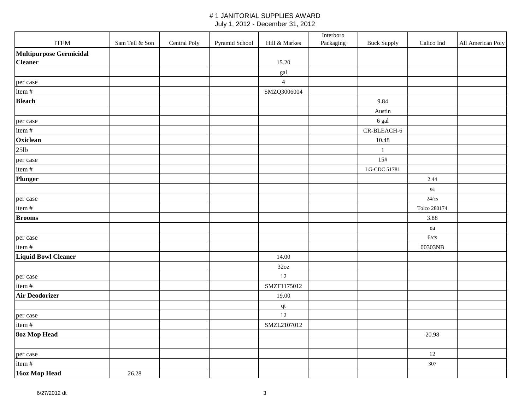|                            |                |              |                |                | Interboro |                    |              |                   |
|----------------------------|----------------|--------------|----------------|----------------|-----------|--------------------|--------------|-------------------|
| <b>ITEM</b>                | Sam Tell & Son | Central Poly | Pyramid School | Hill & Markes  | Packaging | <b>Buck Supply</b> | Calico Ind   | All American Poly |
| Multipurpose Germicidal    |                |              |                |                |           |                    |              |                   |
| <b>Cleaner</b>             |                |              |                | 15.20          |           |                    |              |                   |
|                            |                |              |                | gal            |           |                    |              |                   |
| per case                   |                |              |                | $\overline{4}$ |           |                    |              |                   |
| item#                      |                |              |                | SMZQ3006004    |           |                    |              |                   |
| <b>Bleach</b>              |                |              |                |                |           | 9.84               |              |                   |
|                            |                |              |                |                |           | Austin             |              |                   |
| per case                   |                |              |                |                |           | 6 gal              |              |                   |
| item#                      |                |              |                |                |           | CR-BLEACH-6        |              |                   |
| Oxiclean                   |                |              |                |                |           | 10.48              |              |                   |
| 25lb                       |                |              |                |                |           | $\mathbf{1}$       |              |                   |
| per case                   |                |              |                |                |           | 15#                |              |                   |
| item#                      |                |              |                |                |           | LG-CDC 51781       |              |                   |
| <b>Plunger</b>             |                |              |                |                |           |                    | 2.44         |                   |
|                            |                |              |                |                |           |                    | ea           |                   |
| per case                   |                |              |                |                |           |                    | $24$ / $cs$  |                   |
| item#                      |                |              |                |                |           |                    | Tolco 280174 |                   |
| <b>Brooms</b>              |                |              |                |                |           |                    | 3.88         |                   |
|                            |                |              |                |                |           |                    | ea           |                   |
| per case                   |                |              |                |                |           |                    | 6/cs         |                   |
| item#                      |                |              |                |                |           |                    | 00303NB      |                   |
| <b>Liquid Bowl Cleaner</b> |                |              |                | 14.00          |           |                    |              |                   |
|                            |                |              |                | 32oz           |           |                    |              |                   |
| per case                   |                |              |                | 12             |           |                    |              |                   |
| item#                      |                |              |                | SMZF1175012    |           |                    |              |                   |
| <b>Air Deodorizer</b>      |                |              |                | 19.00          |           |                    |              |                   |
|                            |                |              |                | $\, {\bf qt}$  |           |                    |              |                   |
| per case                   |                |              |                | 12             |           |                    |              |                   |
| item#                      |                |              |                | SMZL2107012    |           |                    |              |                   |
| <b>8oz Mop Head</b>        |                |              |                |                |           |                    | 20.98        |                   |
|                            |                |              |                |                |           |                    |              |                   |
| per case                   |                |              |                |                |           |                    | 12           |                   |
| item#                      |                |              |                |                |           |                    | 307          |                   |
| 16oz Mop Head              | 26.28          |              |                |                |           |                    |              |                   |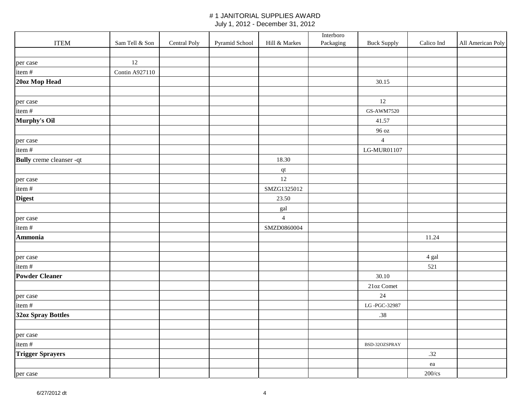|                                 |                       |              |                |                        | Interboro |                    |                   |                   |
|---------------------------------|-----------------------|--------------|----------------|------------------------|-----------|--------------------|-------------------|-------------------|
| <b>ITEM</b>                     | Sam Tell & Son        | Central Poly | Pyramid School | Hill & Markes          | Packaging | <b>Buck Supply</b> | Calico Ind        | All American Poly |
|                                 |                       |              |                |                        |           |                    |                   |                   |
| per case                        | 12                    |              |                |                        |           |                    |                   |                   |
| item#                           | <b>Contin A927110</b> |              |                |                        |           |                    |                   |                   |
| 20oz Mop Head                   |                       |              |                |                        |           | 30.15              |                   |                   |
|                                 |                       |              |                |                        |           |                    |                   |                   |
| per case                        |                       |              |                |                        |           | 12                 |                   |                   |
| item#                           |                       |              |                |                        |           | GS-AWM7520         |                   |                   |
| Murphy's Oil                    |                       |              |                |                        |           | 41.57              |                   |                   |
|                                 |                       |              |                |                        |           | 96 oz              |                   |                   |
| per case                        |                       |              |                |                        |           | $\overline{4}$     |                   |                   |
| item#                           |                       |              |                |                        |           | LG-MUR01107        |                   |                   |
| <b>Bully</b> creme cleanser -qt |                       |              |                | 18.30                  |           |                    |                   |                   |
|                                 |                       |              |                | $\mathbf{q}\mathbf{t}$ |           |                    |                   |                   |
| per case                        |                       |              |                | 12                     |           |                    |                   |                   |
| item #                          |                       |              |                | SMZG1325012            |           |                    |                   |                   |
| <b>Digest</b>                   |                       |              |                | 23.50                  |           |                    |                   |                   |
|                                 |                       |              |                | gal                    |           |                    |                   |                   |
| per case                        |                       |              |                | $\overline{4}$         |           |                    |                   |                   |
| item#                           |                       |              |                | SMZD0860004            |           |                    |                   |                   |
| <b>Ammonia</b>                  |                       |              |                |                        |           |                    | 11.24             |                   |
|                                 |                       |              |                |                        |           |                    |                   |                   |
| per case                        |                       |              |                |                        |           |                    | 4 gal             |                   |
| item #                          |                       |              |                |                        |           |                    | 521               |                   |
| <b>Powder Cleaner</b>           |                       |              |                |                        |           | 30.10              |                   |                   |
|                                 |                       |              |                |                        |           | 21oz Comet         |                   |                   |
| per case                        |                       |              |                |                        |           | 24                 |                   |                   |
| item#                           |                       |              |                |                        |           | LG-PGC-32987       |                   |                   |
| 32oz Spray Bottles              |                       |              |                |                        |           | .38                |                   |                   |
|                                 |                       |              |                |                        |           |                    |                   |                   |
| per case                        |                       |              |                |                        |           |                    |                   |                   |
| item#                           |                       |              |                |                        |           | BSD-32OZSPRAY      |                   |                   |
| <b>Trigger Sprayers</b>         |                       |              |                |                        |           |                    | .32               |                   |
|                                 |                       |              |                |                        |           |                    | ${\rm e} {\rm a}$ |                   |
| per case                        |                       |              |                |                        |           |                    | $200$ /cs         |                   |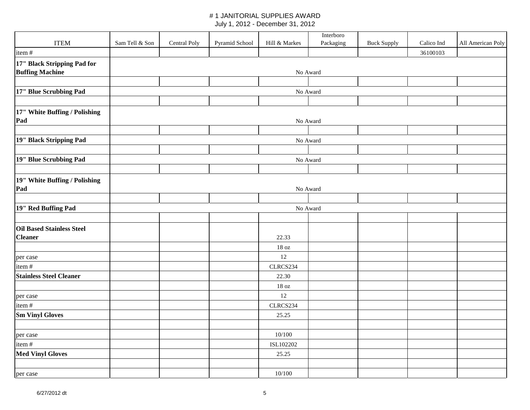|                                                       |                |              |                |               | Interboro |                    |            |                   |  |
|-------------------------------------------------------|----------------|--------------|----------------|---------------|-----------|--------------------|------------|-------------------|--|
| <b>ITEM</b>                                           | Sam Tell & Son | Central Poly | Pyramid School | Hill & Markes | Packaging | <b>Buck Supply</b> | Calico Ind | All American Poly |  |
| item#                                                 |                |              |                |               |           |                    | 36100103   |                   |  |
| 17" Black Stripping Pad for<br><b>Buffing Machine</b> |                |              |                | No Award      |           |                    |            |                   |  |
|                                                       |                |              |                |               |           |                    |            |                   |  |
| 17" Blue Scrubbing Pad                                |                |              |                | No Award      |           |                    |            |                   |  |
|                                                       |                |              |                |               |           |                    |            |                   |  |
| 17" White Buffing / Polishing                         |                |              |                |               |           |                    |            |                   |  |
| Pad                                                   | No Award       |              |                |               |           |                    |            |                   |  |
|                                                       |                |              |                |               |           |                    |            |                   |  |
| 19" Black Stripping Pad                               |                |              |                |               | No Award  |                    |            |                   |  |
|                                                       |                |              |                |               |           |                    |            |                   |  |
| 19" Blue Scrubbing Pad                                |                |              |                |               | No Award  |                    |            |                   |  |
|                                                       |                |              |                |               |           |                    |            |                   |  |
| 19" White Buffing / Polishing<br>Pad                  |                |              |                |               | No Award  |                    |            |                   |  |
|                                                       |                |              |                |               |           |                    |            |                   |  |
| 19" Red Buffing Pad                                   | No Award       |              |                |               |           |                    |            |                   |  |
|                                                       |                |              |                |               |           |                    |            |                   |  |
| <b>Oil Based Stainless Steel</b><br><b>Cleaner</b>    |                |              |                | 22.33         |           |                    |            |                   |  |
|                                                       |                |              |                | 18 oz         |           |                    |            |                   |  |
| per case                                              |                |              |                | 12            |           |                    |            |                   |  |
| item#                                                 |                |              |                | CLRCS234      |           |                    |            |                   |  |
| <b>Stainless Steel Cleaner</b>                        |                |              |                | 22.30         |           |                    |            |                   |  |
|                                                       |                |              |                | 18 oz         |           |                    |            |                   |  |
| per case                                              |                |              |                | 12            |           |                    |            |                   |  |
| item #                                                |                |              |                | CLRCS234      |           |                    |            |                   |  |
| <b>Sm Vinyl Gloves</b>                                |                |              |                | 25.25         |           |                    |            |                   |  |
|                                                       |                |              |                |               |           |                    |            |                   |  |
| per case                                              |                |              |                | 10/100        |           |                    |            |                   |  |
| item#                                                 |                |              |                | ISL102202     |           |                    |            |                   |  |
| <b>Med Vinyl Gloves</b>                               |                |              |                | 25.25         |           |                    |            |                   |  |
|                                                       |                |              |                |               |           |                    |            |                   |  |
| per case                                              |                |              |                | 10/100        |           |                    |            |                   |  |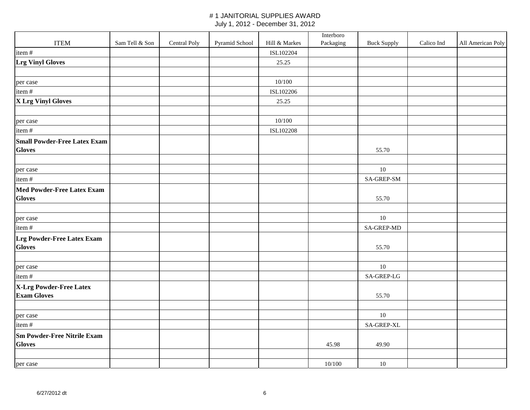|                                     |                |              |                |               | Interboro |                    |            |                   |
|-------------------------------------|----------------|--------------|----------------|---------------|-----------|--------------------|------------|-------------------|
| <b>ITEM</b>                         | Sam Tell & Son | Central Poly | Pyramid School | Hill & Markes | Packaging | <b>Buck Supply</b> | Calico Ind | All American Poly |
| item#                               |                |              |                | ISL102204     |           |                    |            |                   |
| <b>Lrg Vinyl Gloves</b>             |                |              |                | 25.25         |           |                    |            |                   |
|                                     |                |              |                |               |           |                    |            |                   |
| per case                            |                |              |                | 10/100        |           |                    |            |                   |
| item#                               |                |              |                | ISL102206     |           |                    |            |                   |
| X Lrg Vinyl Gloves                  |                |              |                | 25.25         |           |                    |            |                   |
|                                     |                |              |                |               |           |                    |            |                   |
| per case                            |                |              |                | 10/100        |           |                    |            |                   |
| item#                               |                |              |                | ISL102208     |           |                    |            |                   |
| <b>Small Powder-Free Latex Exam</b> |                |              |                |               |           |                    |            |                   |
| <b>Gloves</b>                       |                |              |                |               |           | 55.70              |            |                   |
|                                     |                |              |                |               |           |                    |            |                   |
| per case                            |                |              |                |               |           | 10                 |            |                   |
| item#                               |                |              |                |               |           | SA-GREP-SM         |            |                   |
| Med Powder-Free Latex Exam          |                |              |                |               |           |                    |            |                   |
| <b>Gloves</b>                       |                |              |                |               |           | 55.70              |            |                   |
|                                     |                |              |                |               |           |                    |            |                   |
| per case                            |                |              |                |               |           | $10\,$             |            |                   |
| item#                               |                |              |                |               |           | <b>SA-GREP-MD</b>  |            |                   |
| Lrg Powder-Free Latex Exam          |                |              |                |               |           |                    |            |                   |
| <b>Gloves</b>                       |                |              |                |               |           | 55.70              |            |                   |
|                                     |                |              |                |               |           |                    |            |                   |
| per case                            |                |              |                |               |           | $10\,$             |            |                   |
| item#                               |                |              |                |               |           | SA-GREP-LG         |            |                   |
| X-Lrg Powder-Free Latex             |                |              |                |               |           |                    |            |                   |
| <b>Exam Gloves</b>                  |                |              |                |               |           | 55.70              |            |                   |
|                                     |                |              |                |               |           |                    |            |                   |
| per case                            |                |              |                |               |           | 10                 |            |                   |
| item#                               |                |              |                |               |           | SA-GREP-XL         |            |                   |
| <b>Sm Powder-Free Nitrile Exam</b>  |                |              |                |               |           |                    |            |                   |
| <b>Gloves</b>                       |                |              |                |               | 45.98     | 49.90              |            |                   |
|                                     |                |              |                |               |           |                    |            |                   |
| per case                            |                |              |                |               | 10/100    | $10\,$             |            |                   |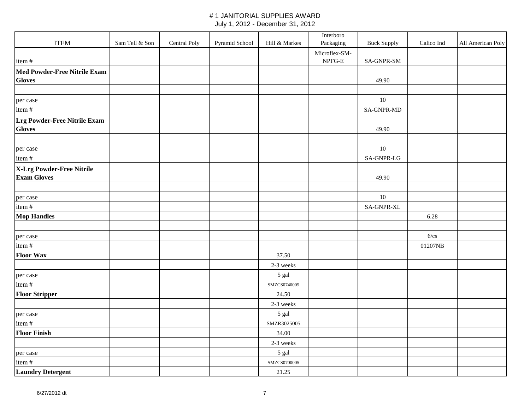|                                     |                |              |                |               | Interboro               |                    |            |                   |
|-------------------------------------|----------------|--------------|----------------|---------------|-------------------------|--------------------|------------|-------------------|
| <b>ITEM</b>                         | Sam Tell & Son | Central Poly | Pyramid School | Hill & Markes | Packaging               | <b>Buck Supply</b> | Calico Ind | All American Poly |
|                                     |                |              |                |               | Microflex-SM-<br>NPFG-E |                    |            |                   |
| item#                               |                |              |                |               |                         | SA-GNPR-SM         |            |                   |
| <b>Med Powder-Free Nitrile Exam</b> |                |              |                |               |                         |                    |            |                   |
| <b>Gloves</b>                       |                |              |                |               |                         | 49.90              |            |                   |
|                                     |                |              |                |               |                         |                    |            |                   |
| per case                            |                |              |                |               |                         | $10\,$             |            |                   |
| item#                               |                |              |                |               |                         | SA-GNPR-MD         |            |                   |
| Lrg Powder-Free Nitrile Exam        |                |              |                |               |                         |                    |            |                   |
| <b>Gloves</b>                       |                |              |                |               |                         | 49.90              |            |                   |
|                                     |                |              |                |               |                         |                    |            |                   |
| per case                            |                |              |                |               |                         | $10\,$             |            |                   |
| item#                               |                |              |                |               |                         | SA-GNPR-LG         |            |                   |
| X-Lrg Powder-Free Nitrile           |                |              |                |               |                         |                    |            |                   |
| <b>Exam Gloves</b>                  |                |              |                |               |                         | 49.90              |            |                   |
|                                     |                |              |                |               |                         |                    |            |                   |
| per case                            |                |              |                |               |                         | $10\,$             |            |                   |
| item#                               |                |              |                |               |                         | SA-GNPR-XL         |            |                   |
| <b>Mop Handles</b>                  |                |              |                |               |                         |                    | 6.28       |                   |
|                                     |                |              |                |               |                         |                    |            |                   |
| per case                            |                |              |                |               |                         |                    | 6/cs       |                   |
| item#                               |                |              |                |               |                         |                    | 01207NB    |                   |
| <b>Floor Wax</b>                    |                |              |                | 37.50         |                         |                    |            |                   |
|                                     |                |              |                | 2-3 weeks     |                         |                    |            |                   |
| per case                            |                |              |                | 5 gal         |                         |                    |            |                   |
| item#                               |                |              |                | SMZCS0740005  |                         |                    |            |                   |
| <b>Floor Stripper</b>               |                |              |                | 24.50         |                         |                    |            |                   |
|                                     |                |              |                | 2-3 weeks     |                         |                    |            |                   |
| per case                            |                |              |                | 5 gal         |                         |                    |            |                   |
| item#                               |                |              |                | SMZR3025005   |                         |                    |            |                   |
| <b>Floor Finish</b>                 |                |              |                | 34.00         |                         |                    |            |                   |
|                                     |                |              |                | 2-3 weeks     |                         |                    |            |                   |
| per case                            |                |              |                | 5 gal         |                         |                    |            |                   |
| item#                               |                |              |                | SMZCS0700005  |                         |                    |            |                   |
| <b>Laundry Detergent</b>            |                |              |                | 21.25         |                         |                    |            |                   |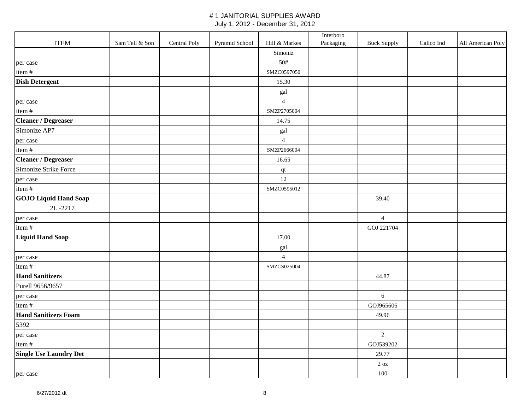|                               |                |              |                |                | Interboro |                    |            |                   |
|-------------------------------|----------------|--------------|----------------|----------------|-----------|--------------------|------------|-------------------|
| <b>ITEM</b>                   | Sam Tell & Son | Central Poly | Pyramid School | Hill & Markes  | Packaging | <b>Buck Supply</b> | Calico Ind | All American Poly |
|                               |                |              |                | Simoniz        |           |                    |            |                   |
| per case                      |                |              |                | 50#            |           |                    |            |                   |
| item#                         |                |              |                | SMZC0597050    |           |                    |            |                   |
| <b>Dish Detergent</b>         |                |              |                | 15.30          |           |                    |            |                   |
|                               |                |              |                | gal            |           |                    |            |                   |
| per case                      |                |              |                | $\overline{4}$ |           |                    |            |                   |
| item#                         |                |              |                | SMZP2705004    |           |                    |            |                   |
| <b>Cleaner / Degreaser</b>    |                |              |                | 14.75          |           |                    |            |                   |
| Simonize AP7                  |                |              |                | gal            |           |                    |            |                   |
| per case                      |                |              |                | $\overline{4}$ |           |                    |            |                   |
| item#                         |                |              |                | SMZP2666004    |           |                    |            |                   |
| <b>Cleaner / Degreaser</b>    |                |              |                | 16.65          |           |                    |            |                   |
| Simonize Strike Force         |                |              |                | $\bf qt$       |           |                    |            |                   |
| per case                      |                |              |                | 12             |           |                    |            |                   |
| item#                         |                |              |                | SMZC0595012    |           |                    |            |                   |
| <b>GOJO Liquid Hand Soap</b>  |                |              |                |                |           | 39.40              |            |                   |
| 2L-2217                       |                |              |                |                |           |                    |            |                   |
| per case                      |                |              |                |                |           | $\overline{4}$     |            |                   |
| item#                         |                |              |                |                |           | GOJ 221704         |            |                   |
| <b>Liquid Hand Soap</b>       |                |              |                | 17.00          |           |                    |            |                   |
|                               |                |              |                | gal            |           |                    |            |                   |
| per case                      |                |              |                | $\overline{4}$ |           |                    |            |                   |
| item#                         |                |              |                | SMZCS025004    |           |                    |            |                   |
| <b>Hand Sanitizers</b>        |                |              |                |                |           | 44.87              |            |                   |
| Purell 9656/9657              |                |              |                |                |           |                    |            |                   |
| per case                      |                |              |                |                |           | $\epsilon$         |            |                   |
| item#                         |                |              |                |                |           | GOJ965606          |            |                   |
| <b>Hand Sanitizers Foam</b>   |                |              |                |                |           | 49.96              |            |                   |
| 5392                          |                |              |                |                |           |                    |            |                   |
| per case                      |                |              |                |                |           | $\overline{2}$     |            |                   |
| item#                         |                |              |                |                |           | GOJ539202          |            |                   |
| <b>Single Use Laundry Det</b> |                |              |                |                |           | 29.77              |            |                   |
|                               |                |              |                |                |           | $2\ \mathrm{oz}$   |            |                   |
| per case                      |                |              |                |                |           | 100                |            |                   |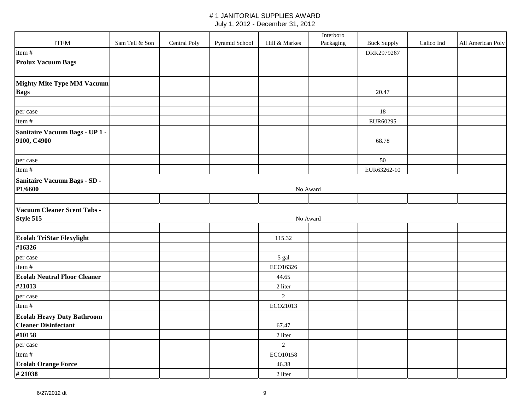|                                               |                |              |                |                | Interboro |                    |            |                   |
|-----------------------------------------------|----------------|--------------|----------------|----------------|-----------|--------------------|------------|-------------------|
| <b>ITEM</b>                                   | Sam Tell & Son | Central Poly | Pyramid School | Hill & Markes  | Packaging | <b>Buck Supply</b> | Calico Ind | All American Poly |
| item $#$                                      |                |              |                |                |           | DRK2979267         |            |                   |
| <b>Prolux Vacuum Bags</b>                     |                |              |                |                |           |                    |            |                   |
|                                               |                |              |                |                |           |                    |            |                   |
| <b>Mighty Mite Type MM Vacuum</b>             |                |              |                |                |           |                    |            |                   |
| <b>Bags</b>                                   |                |              |                |                |           | 20.47              |            |                   |
|                                               |                |              |                |                |           |                    |            |                   |
| per case                                      |                |              |                |                |           | 18                 |            |                   |
| item#                                         |                |              |                |                |           | EUR60295           |            |                   |
| Sanitaire Vacuum Bags - UP 1 -<br>9100, C4900 |                |              |                |                |           | 68.78              |            |                   |
|                                               |                |              |                |                |           |                    |            |                   |
| per case                                      |                |              |                |                |           | 50                 |            |                   |
| item#                                         |                |              |                |                |           | EUR63262-10        |            |                   |
|                                               |                |              |                |                |           |                    |            |                   |
| Sanitaire Vacuum Bags - SD -<br>P1/6600       |                |              |                |                | No Award  |                    |            |                   |
|                                               |                |              |                |                |           |                    |            |                   |
| Vacuum Cleaner Scent Tabs -<br>Style 515      |                |              |                |                | No Award  |                    |            |                   |
|                                               |                |              |                |                |           |                    |            |                   |
| <b>Ecolab TriStar Flexylight</b>              |                |              |                | 115.32         |           |                    |            |                   |
| #16326                                        |                |              |                |                |           |                    |            |                   |
| per case                                      |                |              |                | 5 gal          |           |                    |            |                   |
| item#                                         |                |              |                | ECO16326       |           |                    |            |                   |
| <b>Ecolab Neutral Floor Cleaner</b>           |                |              |                | 44.65          |           |                    |            |                   |
| #21013                                        |                |              |                | 2 liter        |           |                    |            |                   |
| per case                                      |                |              |                | $\overline{2}$ |           |                    |            |                   |
| item#                                         |                |              |                | ECO21013       |           |                    |            |                   |
| <b>Ecolab Heavy Duty Bathroom</b>             |                |              |                |                |           |                    |            |                   |
| <b>Cleaner Disinfectant</b>                   |                |              |                | 67.47          |           |                    |            |                   |
| #10158                                        |                |              |                | 2 liter        |           |                    |            |                   |
| per case                                      |                |              |                | $\sqrt{2}$     |           |                    |            |                   |
| item#                                         |                |              |                | ECO10158       |           |                    |            |                   |
| <b>Ecolab Orange Force</b>                    |                |              |                | 46.38          |           |                    |            |                   |
| #21038                                        |                |              |                | 2 liter        |           |                    |            |                   |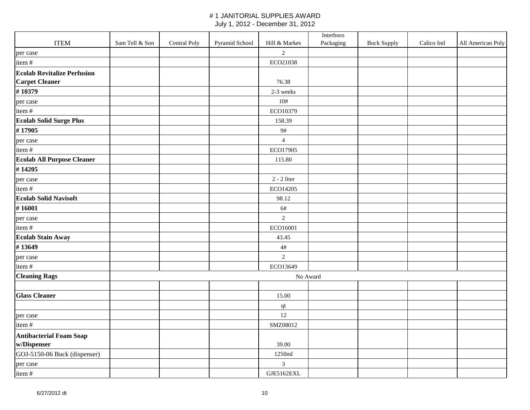|                                                             |                |              |                |                | Interboro |                    |            |                   |
|-------------------------------------------------------------|----------------|--------------|----------------|----------------|-----------|--------------------|------------|-------------------|
| <b>ITEM</b>                                                 | Sam Tell & Son | Central Poly | Pyramid School | Hill & Markes  | Packaging | <b>Buck Supply</b> | Calico Ind | All American Poly |
| per case                                                    |                |              |                | $\overline{2}$ |           |                    |            |                   |
| item#                                                       |                |              |                | ECO21038       |           |                    |            |                   |
| <b>Ecolab Revitalize Perfusion</b><br><b>Carpet Cleaner</b> |                |              |                | 76.38          |           |                    |            |                   |
| #10379                                                      |                |              |                | 2-3 weeks      |           |                    |            |                   |
| per case                                                    |                |              |                | 10#            |           |                    |            |                   |
| item#                                                       |                |              |                | ECO10379       |           |                    |            |                   |
| <b>Ecolab Solid Surge Plus</b>                              |                |              |                | 158.39         |           |                    |            |                   |
| #17905                                                      |                |              |                | 9#             |           |                    |            |                   |
| per case                                                    |                |              |                | $\overline{4}$ |           |                    |            |                   |
| item#                                                       |                |              |                | ECO17905       |           |                    |            |                   |
| <b>Ecolab All Purpose Cleaner</b>                           |                |              |                | 115.80         |           |                    |            |                   |
| #14205                                                      |                |              |                |                |           |                    |            |                   |
| per case                                                    |                |              |                | $2 - 2$ liter  |           |                    |            |                   |
| item#                                                       |                |              |                | ECO14205       |           |                    |            |                   |
| <b>Ecolab Solid Navisoft</b>                                |                |              |                | 98.12          |           |                    |            |                   |
| #16001                                                      |                |              |                | 6#             |           |                    |            |                   |
| per case                                                    |                |              |                | $\sqrt{2}$     |           |                    |            |                   |
| item#                                                       |                |              |                | ECO16001       |           |                    |            |                   |
| <b>Ecolab Stain Away</b>                                    |                |              |                | 43.45          |           |                    |            |                   |
| #13649                                                      |                |              |                | $4\#$          |           |                    |            |                   |
| per case                                                    |                |              |                | $\overline{2}$ |           |                    |            |                   |
| item#                                                       |                |              |                | ECO13649       |           |                    |            |                   |
| <b>Cleaning Rags</b>                                        |                |              |                | No Award       |           |                    |            |                   |
|                                                             |                |              |                |                |           |                    |            |                   |
| <b>Glass Cleaner</b>                                        |                |              |                | 15.00          |           |                    |            |                   |
|                                                             |                |              |                | $\bf qt$       |           |                    |            |                   |
| per case                                                    |                |              |                | 12             |           |                    |            |                   |
| item#                                                       |                |              |                | SMZ08012       |           |                    |            |                   |
| <b>Antibacterial Foam Soap</b><br>w/Dispenser               |                |              |                | 39.00          |           |                    |            |                   |
| GOJ-5150-06 Buck (dispenser)                                |                |              |                | 1250ml         |           |                    |            |                   |
| per case                                                    |                |              |                | $\mathfrak{Z}$ |           |                    |            |                   |
| item #                                                      |                |              |                | GJE5162EXL     |           |                    |            |                   |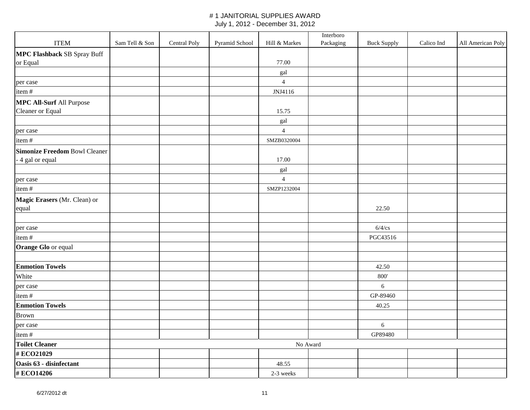|                                      |                |              |                |                | Interboro |                    |            |                   |
|--------------------------------------|----------------|--------------|----------------|----------------|-----------|--------------------|------------|-------------------|
| <b>ITEM</b>                          | Sam Tell & Son | Central Poly | Pyramid School | Hill & Markes  | Packaging | <b>Buck Supply</b> | Calico Ind | All American Poly |
| <b>MPC Flashback SB Spray Buff</b>   |                |              |                |                |           |                    |            |                   |
| or Equal                             |                |              |                | 77.00          |           |                    |            |                   |
|                                      |                |              |                | gal            |           |                    |            |                   |
| per case                             |                |              |                | $\overline{4}$ |           |                    |            |                   |
| item#                                |                |              |                | JNJ4116        |           |                    |            |                   |
| <b>MPC All-Surf All Purpose</b>      |                |              |                |                |           |                    |            |                   |
| Cleaner or Equal                     |                |              |                | 15.75          |           |                    |            |                   |
|                                      |                |              |                | gal            |           |                    |            |                   |
| per case                             |                |              |                | $\overline{4}$ |           |                    |            |                   |
| item#                                |                |              |                | SMZB0320004    |           |                    |            |                   |
| <b>Simonize Freedom Bowl Cleaner</b> |                |              |                |                |           |                    |            |                   |
| - 4 gal or equal                     |                |              |                | 17.00          |           |                    |            |                   |
|                                      |                |              |                | gal            |           |                    |            |                   |
| per case                             |                |              |                | $\overline{4}$ |           |                    |            |                   |
| item#                                |                |              |                | SMZP1232004    |           |                    |            |                   |
| Magic Erasers (Mr. Clean) or         |                |              |                |                |           |                    |            |                   |
| equal                                |                |              |                |                |           | 22.50              |            |                   |
|                                      |                |              |                |                |           |                    |            |                   |
| per case                             |                |              |                |                |           | $6/4$ /cs          |            |                   |
| item#                                |                |              |                |                |           | PGC43516           |            |                   |
| Orange Glo or equal                  |                |              |                |                |           |                    |            |                   |
|                                      |                |              |                |                |           |                    |            |                   |
| <b>Enmotion Towels</b>               |                |              |                |                |           | 42.50              |            |                   |
| White                                |                |              |                |                |           | 800'               |            |                   |
| per case                             |                |              |                |                |           | 6                  |            |                   |
| item#                                |                |              |                |                |           | GP-89460           |            |                   |
| <b>Enmotion Towels</b>               |                |              |                |                |           | 40.25              |            |                   |
| <b>Brown</b>                         |                |              |                |                |           |                    |            |                   |
| per case                             |                |              |                |                |           | $\epsilon$         |            |                   |
| item#                                |                |              |                |                |           | GP89480            |            |                   |
| <b>Toilet Cleaner</b>                |                |              |                | No Award       |           |                    |            |                   |
| #ECO21029                            |                |              |                |                |           |                    |            |                   |
| Oasis 63 - disinfectant              |                |              |                | 48.55          |           |                    |            |                   |
| #ECO14206                            |                |              |                | 2-3 weeks      |           |                    |            |                   |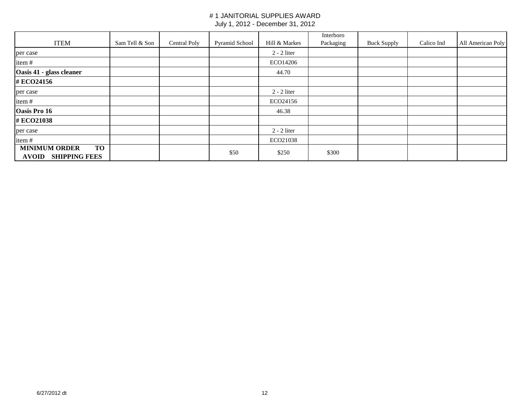|                                                                           |                |              |                |               | Interboro |                    |            |                   |
|---------------------------------------------------------------------------|----------------|--------------|----------------|---------------|-----------|--------------------|------------|-------------------|
| <b>ITEM</b>                                                               | Sam Tell & Son | Central Poly | Pyramid School | Hill & Markes | Packaging | <b>Buck Supply</b> | Calico Ind | All American Poly |
| per case                                                                  |                |              |                | $2 - 2$ liter |           |                    |            |                   |
| item#                                                                     |                |              |                | ECO14206      |           |                    |            |                   |
| Oasis 41 - glass cleaner                                                  |                |              |                | 44.70         |           |                    |            |                   |
| #ECO24156                                                                 |                |              |                |               |           |                    |            |                   |
| per case                                                                  |                |              |                | $2 - 2$ liter |           |                    |            |                   |
| item#                                                                     |                |              |                | ECO24156      |           |                    |            |                   |
| Oasis Pro 16                                                              |                |              |                | 46.38         |           |                    |            |                   |
| #ECO21038                                                                 |                |              |                |               |           |                    |            |                   |
| per case                                                                  |                |              |                | $2 - 2$ liter |           |                    |            |                   |
| item#                                                                     |                |              |                | ECO21038      |           |                    |            |                   |
| <b>TO</b><br><b>MINIMUM ORDER</b><br><b>SHIPPING FEES</b><br><b>AVOID</b> |                |              | \$50           | \$250         | \$300     |                    |            |                   |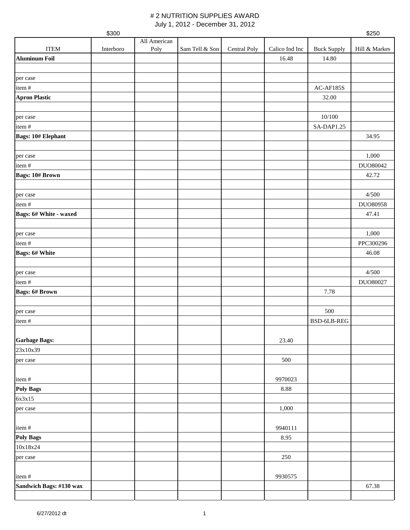July 1, 2012 - December 31, 2012

|                           | \$300     |                      |                |              |                |                    | \$250         |
|---------------------------|-----------|----------------------|----------------|--------------|----------------|--------------------|---------------|
| <b>ITEM</b>               | Interboro | All American<br>Poly | Sam Tell & Son | Central Poly | Calico Ind Inc | <b>Buck Supply</b> | Hill & Markes |
| <b>Aluminum Foil</b>      |           |                      |                |              | 16.48          | 14.80              |               |
|                           |           |                      |                |              |                |                    |               |
| per case                  |           |                      |                |              |                |                    |               |
| item#                     |           |                      |                |              |                | AC-AF185S          |               |
| <b>Apron Plastic</b>      |           |                      |                |              |                | 32.00              |               |
|                           |           |                      |                |              |                |                    |               |
| per case                  |           |                      |                |              |                | 10/100             |               |
| item#                     |           |                      |                |              |                | SA-DAP1.25         |               |
| <b>Bags: 10# Elephant</b> |           |                      |                |              |                |                    | 34.95         |
|                           |           |                      |                |              |                |                    |               |
| per case                  |           |                      |                |              |                |                    | 1,000         |
| item#                     |           |                      |                |              |                |                    | DUO80042      |
| <b>Bags: 10# Brown</b>    |           |                      |                |              |                |                    | 42.72         |
|                           |           |                      |                |              |                |                    | 4/500         |
| per case<br>item#         |           |                      |                |              |                |                    | DUO80958      |
| Bags: 6# White - waxed    |           |                      |                |              |                |                    | 47.41         |
|                           |           |                      |                |              |                |                    |               |
| per case                  |           |                      |                |              |                |                    | 1,000         |
| item#                     |           |                      |                |              |                |                    | PPC300296     |
| <b>Bags: 6# White</b>     |           |                      |                |              |                |                    | 46.08         |
|                           |           |                      |                |              |                |                    |               |
| per case                  |           |                      |                |              |                |                    | 4/500         |
| item#                     |           |                      |                |              |                |                    | DUO80027      |
| <b>Bags: 6# Brown</b>     |           |                      |                |              |                | 7.78               |               |
|                           |           |                      |                |              |                |                    |               |
| per case                  |           |                      |                |              |                | 500                |               |
| item#                     |           |                      |                |              |                | BSD-6LB-REG        |               |
|                           |           |                      |                |              |                |                    |               |
| <b>Garbage Bags:</b>      |           |                      |                |              | 23.40          |                    |               |
| 23x10x39                  |           |                      |                |              | 500            |                    |               |
| per case                  |           |                      |                |              |                |                    |               |
| item#                     |           |                      |                |              | 9970023        |                    |               |
| <b>Poly Bags</b>          |           |                      |                |              | $8.88\,$       |                    |               |
| 6x3x15                    |           |                      |                |              |                |                    |               |
| per case                  |           |                      |                |              | 1,000          |                    |               |
|                           |           |                      |                |              |                |                    |               |
| item#                     |           |                      |                |              | 9940111        |                    |               |
| <b>Poly Bags</b>          |           |                      |                |              | 8.95           |                    |               |
| 10x18x24                  |           |                      |                |              |                |                    |               |
| per case                  |           |                      |                |              | 250            |                    |               |
|                           |           |                      |                |              |                |                    |               |
| item#                     |           |                      |                |              | 9930575        |                    |               |
| Sandwich Bags: #130 wax   |           |                      |                |              |                |                    | 67.38         |
|                           |           |                      |                |              |                |                    |               |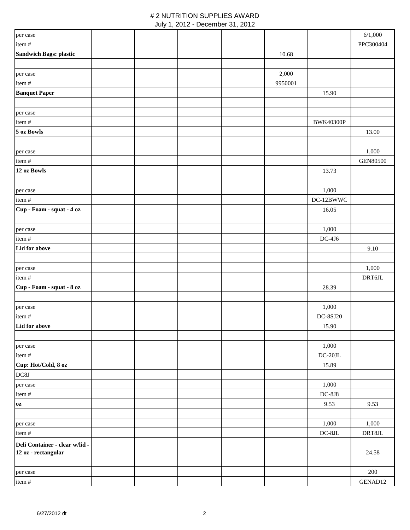#### # 2 NUTRITION SUPPLIES AWARD July 1, 2012 - December 31, 2012

|                                                       | $\sim$ |  |         |                      |                 |
|-------------------------------------------------------|--------|--|---------|----------------------|-----------------|
| per case                                              |        |  |         |                      | 6/1,000         |
| item#                                                 |        |  |         |                      | PPC300404       |
| <b>Sandwich Bags: plastic</b>                         |        |  | 10.68   |                      |                 |
|                                                       |        |  |         |                      |                 |
| per case                                              |        |  | 2,000   |                      |                 |
| item#                                                 |        |  | 9950001 |                      |                 |
| <b>Banquet Paper</b>                                  |        |  |         | 15.90                |                 |
|                                                       |        |  |         |                      |                 |
| per case                                              |        |  |         |                      |                 |
| item#                                                 |        |  |         | <b>BWK40300P</b>     |                 |
| 5 oz Bowls                                            |        |  |         |                      | 13.00           |
|                                                       |        |  |         |                      |                 |
| per case                                              |        |  |         |                      | 1,000           |
| item#<br>12 oz Bowls                                  |        |  |         |                      | <b>GEN80500</b> |
|                                                       |        |  |         | 13.73                |                 |
|                                                       |        |  |         | 1,000                |                 |
| per case<br>item #                                    |        |  |         | DC-12BWWC            |                 |
| Cup - Foam - squat - 4 oz                             |        |  |         | 16.05                |                 |
|                                                       |        |  |         |                      |                 |
| per case                                              |        |  |         | 1,000                |                 |
| item#                                                 |        |  |         | $DC-4J6$             |                 |
| Lid for above                                         |        |  |         |                      | 9.10            |
|                                                       |        |  |         |                      |                 |
| per case                                              |        |  |         |                      | 1,000           |
| item#                                                 |        |  |         |                      | DRT6JL          |
| Cup - Foam - squat - 8 oz                             |        |  |         | 28.39                |                 |
|                                                       |        |  |         |                      |                 |
| per case                                              |        |  |         | 1,000                |                 |
| item#                                                 |        |  |         | <b>DC-8SJ20</b>      |                 |
| Lid for above                                         |        |  |         | 15.90                |                 |
|                                                       |        |  |         |                      |                 |
| per case                                              |        |  |         | 1,000                |                 |
| item#                                                 |        |  |         | $\rm DC\text{-}20JL$ |                 |
| Cup: Hot/Cold, 8 oz                                   |        |  |         | 15.89                |                 |
| DC8J                                                  |        |  |         |                      |                 |
| per case                                              |        |  |         | 1,000                |                 |
| item#                                                 |        |  |         | $DC-8J8$             |                 |
| 0Z                                                    |        |  |         | 9.53                 | 9.53            |
|                                                       |        |  |         | 1,000                | 1,000           |
| per case                                              |        |  |         | DC-8JL               | $\rm{DRT8JL}$   |
| item#                                                 |        |  |         |                      |                 |
| Deli Container - clear w/lid -<br>12 oz - rectangular |        |  |         |                      | 24.58           |
|                                                       |        |  |         |                      |                 |
| per case                                              |        |  |         |                      | 200             |
| item#                                                 |        |  |         |                      | GENAD12         |
|                                                       |        |  |         |                      |                 |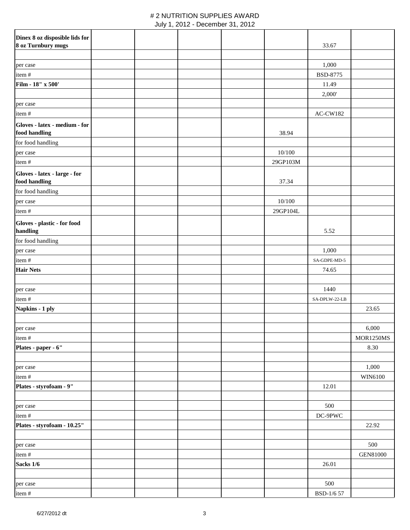|  |  | July 1, 2012 - December 31, 2012 |  |  |
|--|--|----------------------------------|--|--|
|--|--|----------------------------------|--|--|

| Dinex 8 oz disposible lids for                |  |  |          |                 |                  |
|-----------------------------------------------|--|--|----------|-----------------|------------------|
| 8 oz Turnbury mugs                            |  |  |          | 33.67           |                  |
|                                               |  |  |          |                 |                  |
| per case                                      |  |  |          | 1,000           |                  |
| item#                                         |  |  |          | <b>BSD-8775</b> |                  |
| Film - 18" x 500'                             |  |  |          | 11.49           |                  |
|                                               |  |  |          | 2,000'          |                  |
| per case                                      |  |  |          |                 |                  |
| item#                                         |  |  |          | AC-CW182        |                  |
| Gloves - latex - medium - for                 |  |  |          |                 |                  |
| food handling                                 |  |  | 38.94    |                 |                  |
| for food handling                             |  |  |          |                 |                  |
| per case                                      |  |  | 10/100   |                 |                  |
| item#                                         |  |  | 29GP103M |                 |                  |
|                                               |  |  |          |                 |                  |
| Gloves - latex - large - for<br>food handling |  |  | 37.34    |                 |                  |
|                                               |  |  |          |                 |                  |
| for food handling                             |  |  |          |                 |                  |
| per case                                      |  |  | 10/100   |                 |                  |
| item#                                         |  |  | 29GP104L |                 |                  |
| Gloves - plastic - for food<br>handling       |  |  |          | 5.52            |                  |
| for food handling                             |  |  |          |                 |                  |
| per case                                      |  |  |          | 1,000           |                  |
| item#                                         |  |  |          | SA-GDPE-MD-5    |                  |
| <b>Hair Nets</b>                              |  |  |          | 74.65           |                  |
|                                               |  |  |          |                 |                  |
| per case                                      |  |  |          | 1440            |                  |
| item#                                         |  |  |          | SA-DPLW-22-LB   |                  |
| Napkins - 1 ply                               |  |  |          |                 | 23.65            |
|                                               |  |  |          |                 |                  |
| per case                                      |  |  |          |                 | 6,000            |
| item#                                         |  |  |          |                 | <b>MOR1250MS</b> |
| Plates - paper - 6"                           |  |  |          |                 | 8.30             |
|                                               |  |  |          |                 |                  |
| per case                                      |  |  |          |                 | 1,000            |
| item#                                         |  |  |          |                 | WIN6100          |
| Plates - styrofoam - 9"                       |  |  |          | 12.01           |                  |
|                                               |  |  |          |                 |                  |
| per case                                      |  |  |          | 500             |                  |
| item#                                         |  |  |          | $DC-9PWC$       |                  |
| Plates - styrofoam - 10.25"                   |  |  |          |                 | 22.92            |
|                                               |  |  |          |                 |                  |
| per case                                      |  |  |          |                 | 500              |
| item#                                         |  |  |          |                 | <b>GEN81000</b>  |
| Sacks 1/6                                     |  |  |          | 26.01           |                  |
|                                               |  |  |          |                 |                  |
| per case                                      |  |  |          | 500             |                  |
| item#                                         |  |  |          | BSD-1/6 57      |                  |
|                                               |  |  |          |                 |                  |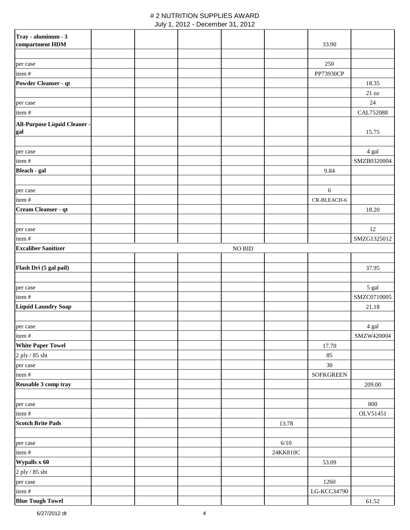#### # 2 NUTRITION SUPPLIES AWARD July 1, 2012 - December 31, 2012

| Tray - aluminum - 3                 |  |               |          |                  |                                |
|-------------------------------------|--|---------------|----------|------------------|--------------------------------|
| compartment HDM                     |  |               |          | 33.90            |                                |
|                                     |  |               |          |                  |                                |
| per case                            |  |               |          | 250              |                                |
| item#                               |  |               |          | PP73930CP        |                                |
| Powder Cleanser - qt                |  |               |          |                  | 18.35                          |
|                                     |  |               |          |                  | $21\,\ensuremath{\mathrm{oz}}$ |
| per case                            |  |               |          |                  | $24\,$                         |
| item#                               |  |               |          |                  | CAL752088                      |
|                                     |  |               |          |                  |                                |
| All-Purpose Liquid Cleaner -<br>gal |  |               |          |                  | 15.75                          |
|                                     |  |               |          |                  |                                |
|                                     |  |               |          |                  |                                |
| per case                            |  |               |          |                  | 4 gal                          |
| item#                               |  |               |          |                  | SMZB0320004                    |
| Bleach - gal                        |  |               |          | 9.84             |                                |
| per case                            |  |               |          | $\sqrt{6}$       |                                |
| item#                               |  |               |          | CR-BLEACH-6      |                                |
| Cream Cleanser - qt                 |  |               |          |                  | 18.20                          |
|                                     |  |               |          |                  |                                |
| per case                            |  |               |          |                  | 12                             |
| item#                               |  |               |          |                  | SMZG1325012                    |
| <b>Excaliber Sanitizer</b>          |  | <b>NO BID</b> |          |                  |                                |
|                                     |  |               |          |                  |                                |
| Flash Dri (5 gal pail)              |  |               |          |                  | 37.95                          |
|                                     |  |               |          |                  |                                |
|                                     |  |               |          |                  |                                |
| per case<br>item#                   |  |               |          |                  | 5 gal                          |
|                                     |  |               |          |                  | SMZC0710005                    |
| <b>Liquid Laundry Soap</b>          |  |               |          |                  | 21.18                          |
|                                     |  |               |          |                  |                                |
| per case                            |  |               |          |                  | 4 gal                          |
| item#                               |  |               |          |                  | SMZW420004                     |
| <b>White Paper Towel</b>            |  |               |          | 17.70            |                                |
| 2 ply / 85 sht                      |  |               |          | 85               |                                |
| per case                            |  |               |          | $30\,$           |                                |
| item#                               |  |               |          | <b>SOFKGREEN</b> |                                |
| Reusable 3 comp tray                |  |               |          |                  | 209.00                         |
| per case                            |  |               |          |                  | 800                            |
| item #                              |  |               |          |                  | OLV51451                       |
| <b>Scotch Brite Pads</b>            |  |               | 13.78    |                  |                                |
|                                     |  |               |          |                  |                                |
| per case                            |  |               | $6/10$   |                  |                                |
| item#                               |  |               | 24KK810C |                  |                                |
|                                     |  |               |          |                  |                                |
| Wypalls x 60                        |  |               |          | 53.09            |                                |
| 2 ply / 85 sht                      |  |               |          |                  |                                |
| per case                            |  |               |          | 1260             |                                |
| item#                               |  |               |          | LG-KCC34790      |                                |
| <b>Blue Tough Towel</b>             |  |               |          |                  | 61.52                          |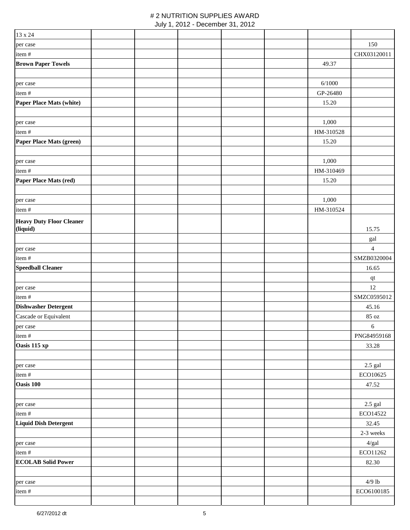| 13 x 24                              |  |  |           |                             |
|--------------------------------------|--|--|-----------|-----------------------------|
| per case                             |  |  |           | 150                         |
| item#                                |  |  |           | CHX03120011                 |
| <b>Brown Paper Towels</b>            |  |  | 49.37     |                             |
|                                      |  |  |           |                             |
| per case                             |  |  | 6/1000    |                             |
| item#                                |  |  | GP-26480  |                             |
| <b>Paper Place Mats (white)</b>      |  |  | 15.20     |                             |
|                                      |  |  |           |                             |
| per case                             |  |  | 1,000     |                             |
| item#                                |  |  | HM-310528 |                             |
| Paper Place Mats (green)             |  |  | 15.20     |                             |
|                                      |  |  |           |                             |
| per case                             |  |  | 1,000     |                             |
| item#                                |  |  | HM-310469 |                             |
| Paper Place Mats (red)               |  |  | 15.20     |                             |
|                                      |  |  |           |                             |
| per case                             |  |  | 1,000     |                             |
| item#                                |  |  | HM-310524 |                             |
| <b>Heavy Duty Floor Cleaner</b>      |  |  |           |                             |
| (liquid)                             |  |  |           | 15.75                       |
|                                      |  |  |           | gal                         |
| per case                             |  |  |           | $\overline{4}$              |
| item #                               |  |  |           | SMZB0320004                 |
| <b>Speedball Cleaner</b>             |  |  |           | 16.65                       |
|                                      |  |  |           | $\bf qt$                    |
| per case                             |  |  |           | 12                          |
| item#<br><b>Dishwasher Detergent</b> |  |  |           | SMZC0595012                 |
| Cascade or Equivalent                |  |  |           | 45.16<br>$85\; \mathrm{oz}$ |
| per case                             |  |  |           | $\sqrt{6}$                  |
| item#                                |  |  |           | PNG84959168                 |
| Oasis 115 xp                         |  |  |           | 33.28                       |
|                                      |  |  |           |                             |
| per case                             |  |  |           | $2.5$ gal                   |
| item #                               |  |  |           | ECO10625                    |
| Oasis 100                            |  |  |           | 47.52                       |
|                                      |  |  |           |                             |
| per case                             |  |  |           | $2.5~\mathrm{gal}$          |
| item#                                |  |  |           | ECO14522                    |
| <b>Liquid Dish Detergent</b>         |  |  |           | 32.45                       |
|                                      |  |  |           | 2-3 weeks                   |
| per case                             |  |  |           | $4/gal$                     |
| item#                                |  |  |           | ECO11262                    |
| <b>ECOLAB Solid Power</b>            |  |  |           | 82.30                       |
|                                      |  |  |           |                             |
| per case                             |  |  |           | $4/9$ lb                    |
| item#                                |  |  |           | ECO6100185                  |
|                                      |  |  |           |                             |